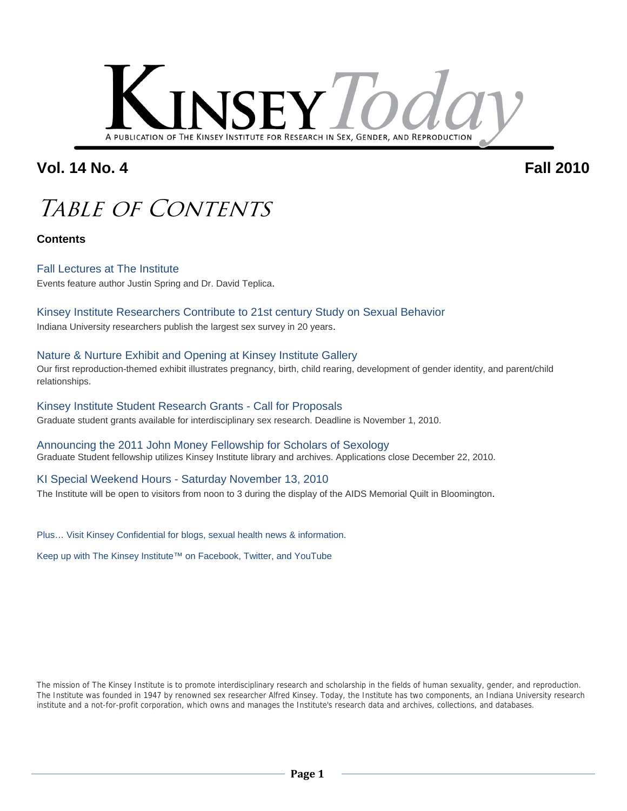

### **Vol. 14 No. 4 Fall 2010**

## Table of Contents

**Contents**

### Fall Lectures at The Institute

Events feature author Justin Spring and Dr. David Teplica.

### Kinsey Institute Researchers Contribute to 21st century Study on Sexual Behavior

Indiana University researchers publish the largest sex survey in 20 years.

#### Nature & Nurture Exhibit and Opening at Kinsey Institute Gallery

Our first reproduction-themed exhibit illustrates pregnancy, birth, child rearing, development of gender identity, and parent/child relationships.

#### Kinsey Institute Student Research Grants - Call for Proposals Graduate student grants available for interdisciplinary sex research. Deadline is November 1, 2010.

Announcing the 2011 John Money Fellowship for Scholars of Sexology Graduate Student fellowship utilizes Kinsey Institute library and archives. Applications close December 22, 2010.

### KI Special Weekend Hours - Saturday November 13, 2010

The Institute will be open to visitors from noon to 3 during the display of the AIDS Memorial Quilt in Bloomington.

Plus… Visit Kinsey Confidential for blogs, sexual health news & information.

Keep up with The Kinsey Institute™ on Facebook, Twitter, and YouTube

The mission of The Kinsey Institute is to promote interdisciplinary research and scholarship in the fields of human sexuality, gender, and reproduction. The Institute was founded in 1947 by renowned sex researcher Alfred Kinsey. Today, the Institute has two components, an Indiana University research institute and a not-for-profit corporation, which owns and manages the Institute's research data and archives, collections, and databases.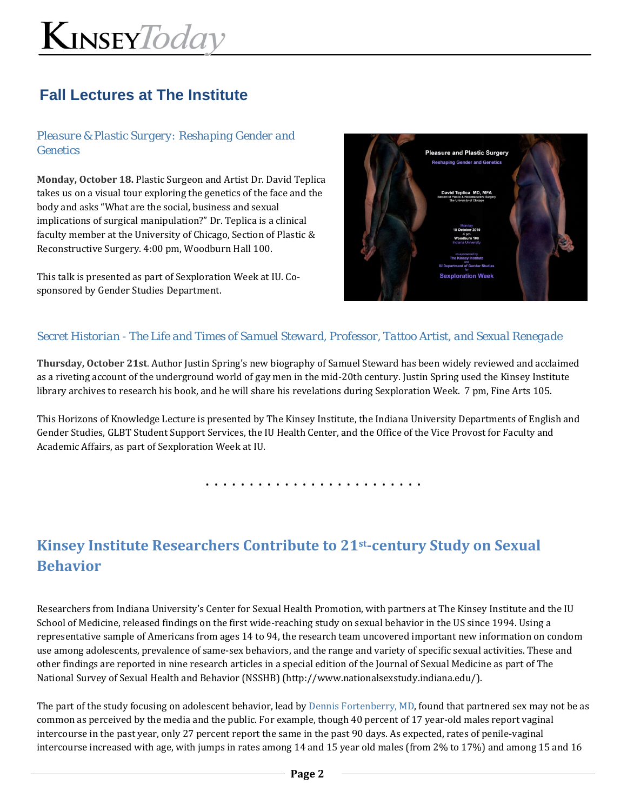### **Fall Lectures at The Institute**

### *Pleasure & Plastic Surgery: Reshaping Gender and Genetics*

**Monday, October 18.** Plastic Surgeon and Artist Dr. David Teplica takes us on a visual tour exploring the genetics of the face and the body and asks "What are the social, business and sexual implications of surgical manipulation?" Dr. Teplica is a clinical faculty member at the University of Chicago, Section of Plastic & Reconstructive Surgery. 4:00 pm, Woodburn Hall 100.

This talk is presented as part of Sexploration Week at IU. Co‐ sponsored by Gender Studies Department.



### *Secret Historian - The Life and Times of Samuel Steward, Professor, Tattoo Artist, and Sexual Renegade*

**Thursday, October 21st**. Author Justin Spring's new biography of Samuel Steward has been widely reviewed and acclaimed as a riveting account of the underground world of gay men in the mid-20th century. Justin Spring used the Kinsey Institute library archives to research his book, and he will share his revelations during Sexploration Week. 7 pm, Fine Arts 105.

This Horizons of Knowledge Lecture is presented by The Kinsey Institute, the Indiana University Departments of English and Gender Studies, GLBT Student Support Services, the IU Health Center, and the Office of the Vice Provost for Faculty and Academic Affairs, as part of Sexploration Week at IU.

. . . . . . . . . . . . . . . . . . . . . . . . .

## **Kinsey Institute Researchers Contribute to 21st‐century Study on Sexual Behavior**

Researchers from Indiana University's Center for Sexual Health Promotion, with partners at The Kinsey Institute and the IU School of Medicine, released findings on the first wide-reaching study on sexual behavior in the US since 1994. Using a representative sample of Americans from ages 14 to 94, the research team uncovered important new information on condom use among adolescents, prevalence of same‐sex behaviors, and the range and variety of specific sexual activities. These and other findings are reported in nine research articles in a special edition of the Journal of Sexual Medicine as part of The National Survey of Sexual Health and Behavior (NSSHB) (http://www.nationalsexstudy.indiana.edu/).

The part of the study focusing on adolescent behavior, lead by Dennis Fortenberry, MD, found that partnered sex may not be as common as perceived by the media and the public. For example, though 40 percent of 17 year-old males report vaginal intercourse in the past year, only 27 percent report the same in the past 90 days. As expected, rates of penile‐vaginal intercourse increased with age, with jumps in rates among 14 and 15 year old males (from 2% to 17%) and among 15 and 16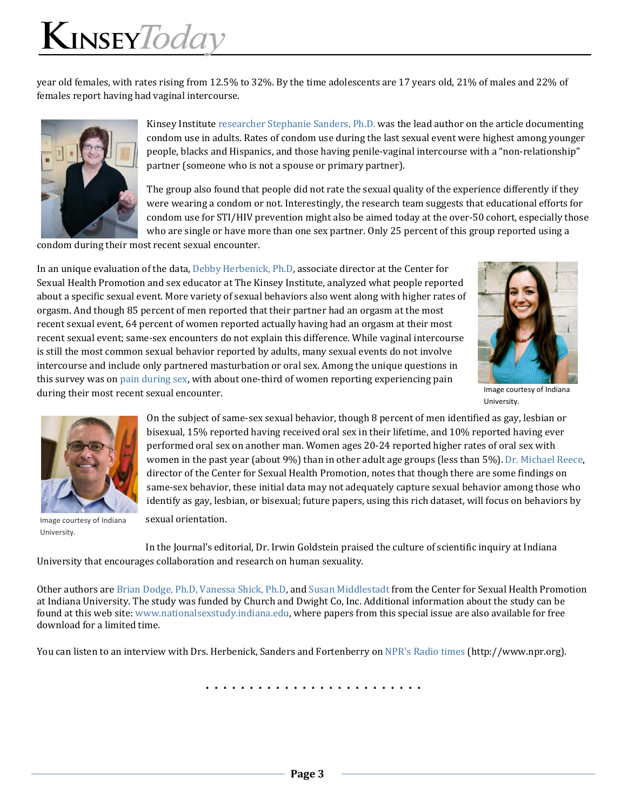year old females, with rates rising from 12.5% to 32%. By the time adolescents are 17 years old, 21% of males and 22% of females report having had vaginal intercourse.



Kinsey Institute researcher Stephanie Sanders, Ph.D. was the lead author on the article documenting condom use in adults. Rates of condom use during the last sexual event were highest among younger people, blacks and Hispanics, and those having penile-vaginal intercourse with a "non-relationship" partner (someone who is not a spouse or primary partner).

The group also found that people did not rate the sexual quality of the experience differently if they were wearing a condom or not. Interestingly, the research team suggests that educational efforts for condom use for STI/HIV prevention might also be aimed today at the over‐50 cohort, especially those who are single or have more than one sex partner. Only 25 percent of this group reported using a

condom during their most recent sexual encounter.

In an unique evaluation of the data, Debby Herbenick, Ph.D, associate director at the Center for Sexual Health Promotion and sex educator at The Kinsey Institute, analyzed what people reported about a specific sexual event. More variety of sexual behaviors also went along with higher rates of orgasm. And though 85 percent of men reported that their partner had an orgasm at the most recent sexual event, 64 percent of women reported actually having had an orgasm at their most recent sexual event; same‐sex encounters do not explain this difference. While vaginal intercourse is still the most common sexual behavior reported by adults, many sexual events do not involve intercourse and include only partnered masturbation or oral sex. Among the unique questions in this survey was on pain during sex, with about one‐third of women reporting experiencing pain during their most recent sexual encounter.



Image courtesy of Indiana University.



Image courtesy of Indiana University.

On the subject of same‐sex sexual behavior, though 8 percent of men identified as gay, lesbian or bisexual, 15% reported having received oral sex in their lifetime, and 10% reported having ever performed oral sex on another man. Women ages 20‐24 reported higher rates of oral sex with women in the past year (about 9%) than in other adult age groups (less than 5%). Dr. Michael Reece, director of the Center for Sexual Health Promotion, notes that though there are some findings on same-sex behavior, these initial data may not adequately capture sexual behavior among those who identify as gay, lesbian, or bisexual; future papers, using this rich dataset, will focus on behaviors by sexual orientation.

In the Journal's editorial, Dr. Irwin Goldstein praised the culture of scientific inquiry at Indiana University that encourages collaboration and research on human sexuality.

Other authors are Brian Dodge, Ph.D, Vanessa Shick, Ph.D, and Susan Middlestadt from the Center for Sexual Health Promotion at Indiana University. The study was funded by Church and Dwight Co, Inc. Additional information about the study can be found at this web site: www.nationalsexstudy.indiana.edu, where papers from this special issue are also available for free download for a limited time.

You can listen to an interview with Drs. Herbenick, Sanders and Fortenberry on NPR's Radio times (http://www.npr.org).

. . . . . . . . . . . . . . . . . . . . . . . . .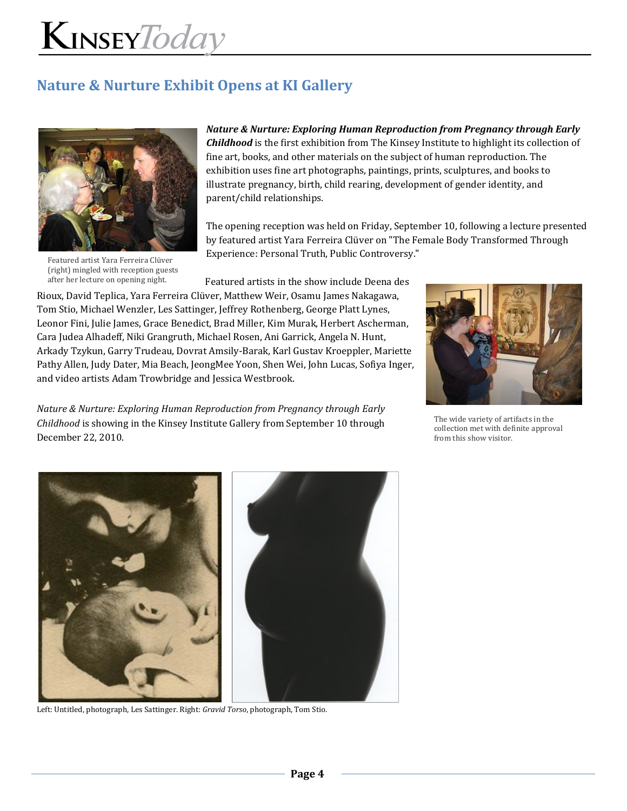## **Nature & Nurture Exhibit Opens at KI Gallery**



Featured artist Yara Ferreira Clüver (right) mingled with reception guests after her lecture on opening night.

*Nature & Nurture: Exploring Human Reproduction from Pregnancy through Early Childhood* is the first exhibition from The Kinsey Institute to highlight its collection of fine art, books, and other materials on the subject of human reproduction. The exhibition uses fine art photographs, paintings, prints, sculptures, and books to illustrate pregnancy, birth, child rearing, development of gender identity, and parent/child relationships.

The opening reception was held on Friday, September 10, following a lecture presented by featured artist Yara Ferreira Clüver on "The Female Body Transformed Through Experience: Personal Truth, Public Controversy."

Featured artists in the show include Deena des

Rioux, David Teplica, Yara Ferreira Clüver, Matthew Weir, Osamu James Nakagawa, Tom Stio, Michael Wenzler, Les Sattinger, Jeffrey Rothenberg, George Platt Lynes, Leonor Fini, Julie James, Grace Benedict, Brad Miller, Kim Murak, Herbert Ascherman, Cara Judea Alhadeff, Niki Grangruth, Michael Rosen, Ani Garrick, Angela N. Hunt, Arkady Tzykun, Garry Trudeau, Dovrat Amsily‐Barak, Karl Gustav Kroeppler, Mariette Pathy Allen, Judy Dater, Mia Beach, JeongMee Yoon, Shen Wei, John Lucas, Sofiya Inger, and video artists Adam Trowbridge and Jessica Westbrook.

*Nature & Nurture: Exploring Human Reproduction from Pregnancy through Early Childhood* is showing in the Kinsey Institute Gallery from September 10 through December 22, 2010.



The wide variety of artifacts in the collection met with definite approval from this show visitor.



Left: Untitled, photograph, Les Sattinger. Right: *Gravid Torso*, photograph, Tom Stio.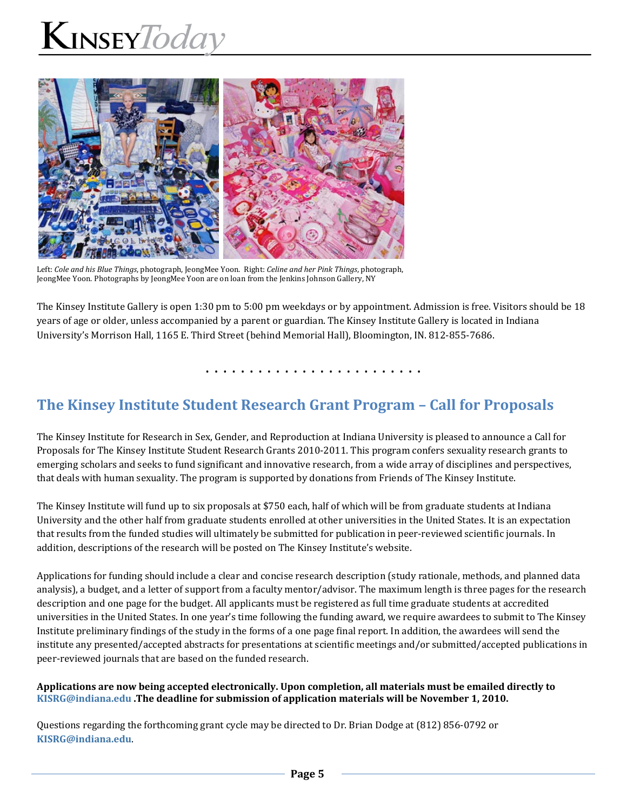

Left: *Cole and his Blue Things*, photograph, JeongMee Yoon. Right: *Celine and her Pink Things*, photograph, JeongMee Yoon. Photographs by JeongMee Yoon are on loan from the Jenkins Johnson Gallery, NY

The Kinsey Institute Gallery is open 1:30 pm to 5:00 pm weekdays or by appointment. Admission is free. Visitors should be 18 years of age or older, unless accompanied by a parent or guardian. The Kinsey Institute Gallery is located in Indiana University's Morrison Hall, 1165 E. Third Street (behind Memorial Hall), Bloomington, IN. 812‐855‐7686.

. . . . . . . . . . . . . . . . . . . . . . . . .

### **The Kinsey Institute Student Research Grant Program – Call for Proposals**

The Kinsey Institute for Research in Sex, Gender, and Reproduction at Indiana University is pleased to announce a Call for Proposals for The Kinsey Institute Student Research Grants 2010‐2011. This program confers sexuality research grants to emerging scholars and seeks to fund significant and innovative research, from a wide array of disciplines and perspectives, that deals with human sexuality. The program is supported by donations from Friends of The Kinsey Institute.

The Kinsey Institute will fund up to six proposals at \$750 each, half of which will be from graduate students at Indiana University and the other half from graduate students enrolled at other universities in the United States. It is an expectation that results from the funded studies will ultimately be submitted for publication in peer-reviewed scientific journals. In addition, descriptions of the research will be posted on The Kinsey Institute's website.

Applications for funding should include a clear and concise research description (study rationale, methods, and planned data analysis), a budget, and a letter of support from a faculty mentor/advisor. The maximum length is three pages for the research description and one page for the budget. All applicants must be registered as full time graduate students at accredited universities in the United States. In one year's time following the funding award, we require awardees to submit to The Kinsey Institute preliminary findings of the study in the forms of a one page final report. In addition, the awardees will send the institute any presented/accepted abstracts for presentations at scientific meetings and/or submitted/accepted publications in peer-reviewed journals that are based on the funded research.

#### **Applications are now being accepted electronically. Upon completion, all materials must be emailed directly to KISRG@indiana.edu .The deadline for submission of application materials will be November 1, 2010.**

Questions regarding the forthcoming grant cycle may be directed to Dr. Brian Dodge at (812) 856‐0792 or **KISRG@indiana.edu**.